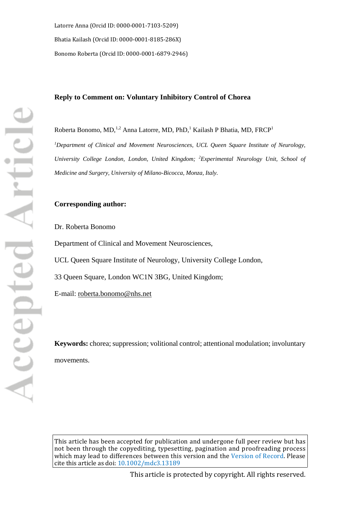Latorre Anna (Orcid ID: [0000-0001-7103-5209\)](http://orcid.org/0000-0001-7103-5209) Bhatia Kailash (Orcid ID[: 0000-0001-8185-286X\)](http://orcid.org/0000-0001-8185-286X) Bonomo Roberta (Orcid ID[: 0000-0001-6879-2946\)](http://orcid.org/0000-0001-6879-2946)

### **Reply to Comment on: Voluntary Inhibitory Control of Chorea**

Roberta Bonomo, MD,<sup>1,2</sup> Anna Latorre, MD, PhD,<sup>1</sup> Kailash P Bhatia, MD, FRCP<sup>1</sup> *1 Department of Clinical and Movement Neurosciences, UCL Queen Square Institute of Neurology, University College London, London, United Kingdom; 2 Experimental Neurology Unit, School of Medicine and Surgery, University of Milano-Bicocca, Monza, Italy.*

# **Corresponding author:**

Dr. Roberta Bonomo

Department of Clinical and Movement Neurosciences,

UCL Queen Square Institute of Neurology, University College London,

33 Queen Square, London WC1N 3BG, United Kingdom;

E-mail: [roberta.bonomo@nhs.net](mailto:roberta.bonomo@nhs.net)

**Keywords:** chorea; suppression; volitional control; attentional modulation; involuntary movements.

This article has been accepted for publication and undergone full peer review but has not been through the copyediting, typesetting, pagination and proofreading process which may lead to differences between this version and the [Version of Record](http://dx.doi.org/10.1002/mdc3.13189). Please cite this article as doi: [10.1002/mdc3.13189](http://dx.doi.org/10.1002/mdc3.13189)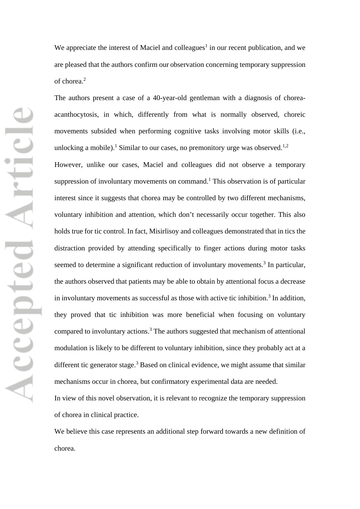We appreciate the interest of Maciel and colleagues<sup>1</sup> in our recent publication, and we are pleased that the authors confirm our observation concerning temporary suppression of chorea. 2

The authors present a case of a 40-year-old gentleman with a diagnosis of choreaacanthocytosis, in which, differently from what is normally observed, choreic movements subsided when performing cognitive tasks involving motor skills (i.e., unlocking a mobile).<sup>1</sup> Similar to our cases, no premonitory urge was observed.<sup>1,2</sup> However, unlike our cases, Maciel and colleagues did not observe a temporary suppression of involuntary movements on command. <sup>1</sup> This observation is of particular interest since it suggests that chorea may be controlled by two different mechanisms, voluntary inhibition and attention, which don't necessarily occur together. This also holds true for tic control. In fact, Misirlisoy and colleagues demonstrated that in tics the distraction provided by attending specifically to finger actions during motor tasks seemed to determine a significant reduction of involuntary movements.<sup>3</sup> In particular, the authors observed that patients may be able to obtain by attentional focus a decrease in involuntary movements as successful as those with active tic inhibition.<sup>3</sup> In addition, they proved that tic inhibition was more beneficial when focusing on voluntary compared to involuntary actions.<sup>3</sup> The authors suggested that mechanism of attentional modulation is likely to be different to voluntary inhibition, since they probably act at a different tic generator stage.<sup>3</sup> Based on clinical evidence, we might assume that similar mechanisms occur in chorea, but confirmatory experimental data are needed.

In view of this novel observation, it is relevant to recognize the temporary suppression of chorea in clinical practice.

We believe this case represents an additional step forward towards a new definition of chorea.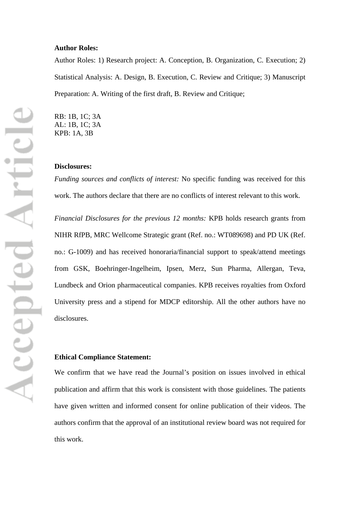#### **Author Roles:**

Author Roles: 1) Research project: A. Conception, B. Organization, C. Execution; 2) Statistical Analysis: A. Design, B. Execution, C. Review and Critique; 3) Manuscript Preparation: A. Writing of the first draft, B. Review and Critique;

RB: 1B, 1C; 3A AL: 1B, 1C; 3A KPB: 1A, 3B

## **Disclosures:**

*Funding sources and conflicts of interest:* No specific funding was received for this work. The authors declare that there are no conflicts of interest relevant to this work.

*Financial Disclosures for the previous 12 months:* KPB holds research grants from NIHR RfPB, MRC Wellcome Strategic grant (Ref. no.: WT089698) and PD UK (Ref. no.: G-1009) and has received honoraria/financial support to speak/attend meetings from GSK, Boehringer-Ingelheim, Ipsen, Merz, Sun Pharma, Allergan, Teva, Lundbeck and Orion pharmaceutical companies. KPB receives royalties from Oxford University press and a stipend for MDCP editorship. All the other authors have no disclosures.

# **Ethical Compliance Statement:**

We confirm that we have read the Journal's position on issues involved in ethical publication and affirm that this work is consistent with those guidelines. The patients have given written and informed consent for online publication of their videos. The authors confirm that the approval of an institutional review board was not required for this work.